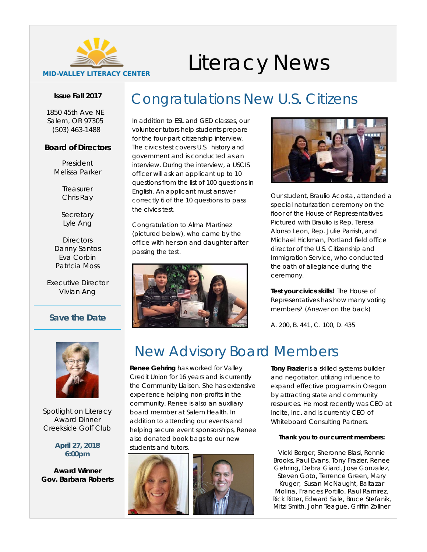

# Literacy News

#### **Issue Fall 2017**

*1850 45th Ave NE Salem, OR 97305 [\(503\) 463-1488](tel:5034631488)*

#### **Board of Directors**

*President* Melissa Parker

> *Treasurer* Chris Ray

*Secretary* Lyle Ang

*Directors* Danny Santos Eva Corbin Patricia Moss

*Executive Director* Vivian Ang

### *Save the Date*



Spotlight on Literacy Award Dinner Creekside Golf Club

**April 27, 2018 6:00pm**

**Award Winner Gov. Barbara Roberts**

### Congratulations New U.S. Citizens

In addition to ESL and GED classes, our volunteer tutors help students prepare for the four-part citizenship interview. The civics test covers U.S. history and government and is conducted as an interview. During the interview, a USCIS officer will ask an applicant up to 10 questions from the list of 100 questions in English. An applicant must answer correctly 6 of the 10 questions to pass the civics test.

Congratulation to Alma Martinez (pictured below), who came by the office with her son and daughter after passing the test.





Our student, Braulio Acosta, attended a special naturization ceremony on the floor of the House of Representatives. Pictured with Braulio is Rep. Teresa Alonso Leon, Rep. Julie Parrish, and Michael Hickman, Portland field office director of the U.S. Citizenship and Immigration Service, who conducted the oath of allegiance during the ceremony.

*Test your civics skills!* The House of Representatives has how many voting members? (Answer on the back)

A. 200, B. 441, C. 100, D. 435

### New Advisory Board Members

**Renee Gehring** has worked for Valley Credit Union for 16 years and is currently the Community Liaison. She has extensive experience helping non-profits in the community. Renee is also an auxiliary board member at Salem Health. In addition to attending our events and helping secure event sponsorships, Renee also donated book bags to our new students and tutors.



**Tony Frazier** is a skilled systems builder and negotiator, utilizing influence to expand effective programs in Oregon by attracting state and community resources. He most recently was CEO at Incite, Inc. and is currently CEO of Whiteboard Consulting Partners.

#### *Thank you to our current members:*

Vicki Berger, Sheronne Blasi, Ronnie Brooks, Paul Evans, Tony Frazier, Renee Gehring, Debra Giard, Jose Gonzalez, Steven Goto, Terrence Green, Mary Kruger, Susan McNaught, Baltazar Molina, Frances Portillo, Raul Ramirez, Rick Ritter, Edward Sale, Bruce Stefanik, Mitzi Smith, John Teague, Griffin Zollner